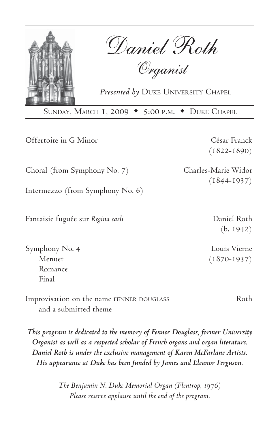

Daniel Roth

Organist

*Presented by* DUKE UNIVERSITY CHAPEL

SUNDAY, MARCH 1, 2009 • 5:00 P.M. • DUKE CHAPEL

Offertoire in G Minor César Franck

(1822-1890)

(1844-1937)

(b. 1942)

Choral (from Symphony No. 7) Charles-Marie Widor

Intermezzo (from Symphony No. 6)

Fantaisie fuguée sur *Regina caeli* Daniel Roth

Symphony No. 4 Louis Vierne Menuet (1870-1937) Romance Final

Improvisation on the name FENNER DOUGLASS Roth and a submitted theme

*This program is dedicated to the memory of Fenner Douglass, former University Organist as well as a respected scholar of French organs and organ literature. Daniel Roth is under the exclusive management of Karen McFarlane Artists. His appearance at Duke has been funded by James and Eleanor Ferguson.*

> *The Benjamin N. Duke Memorial Organ (Flentrop, 1976) Please reserve applause until the end of the program.*